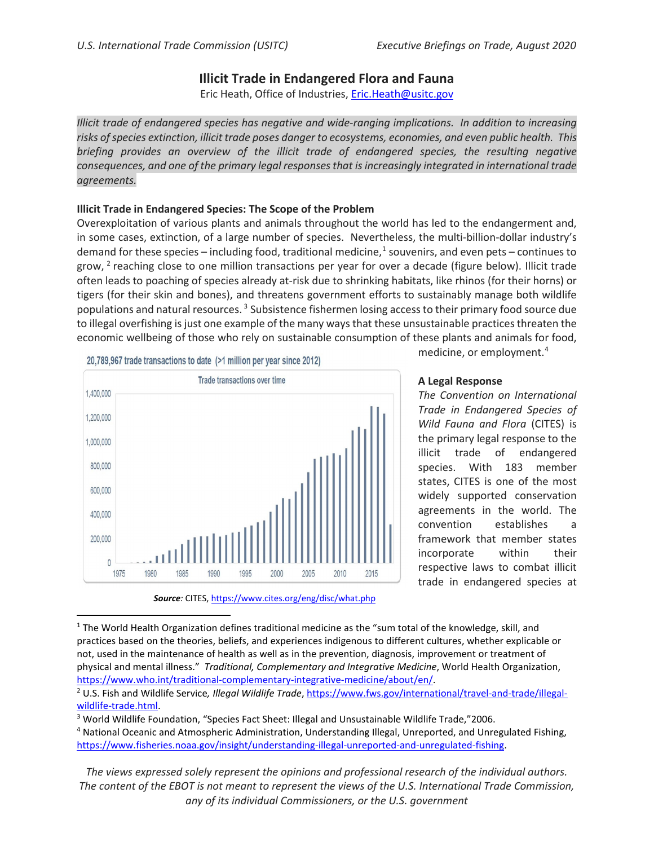## **Illicit Trade in Endangered Flora and Fauna**

Eric Heath, Office of Industries, [Eric.Heath@usitc.gov](mailto:Eric.Heath@usitc.gov)

*Illicit trade of endangered species has negative and wide-ranging implications. In addition to increasing risks of species extinction, illicit trade poses danger to ecosystems, economies, and even public health. This briefing provides an overview of the illicit trade of endangered species, the resulting negative consequences, and one of the primary legal responsesthat is increasingly integrated in international trade agreements.*

## **Illicit Trade in Endangered Species: The Scope of the Problem**

Overexploitation of various plants and animals throughout the world has led to the endangerment and, in some cases, extinction, of a large number of species. Nevertheless, the multi-billion-dollar industry's demand for these species – including food, traditional medicine, $1$  souvenirs, and even pets – continues to grow, <sup>[2](#page-0-1)</sup> reaching close to one million transactions per year for over a decade (figure below). Illicit trade often leads to poaching of species already at-risk due to shrinking habitats, like rhinos (for their horns) or tigers (for their skin and bones), and threatens government efforts to sustainably manage both wildlife populations and natural resources.<sup>[3](#page-0-2)</sup> Subsistence fishermen losing access to their primary food source due to illegal overfishing is just one example of the many ways that these unsustainable practices threaten the economic wellbeing of those who rely on sustainable consumption of these plants and animals for food,



20.789.967 trade transactions to date (>1 million per year since 2012)

# medicine, or employment.[4](#page-0-3)

## **A Legal Response**

*The Convention on International Trade in Endangered Species of Wild Fauna and Flora* (CITES) is the primary legal response to the illicit trade of endangered species. With 183 member states, CITES is one of the most widely supported conservation agreements in the world. The convention establishes a framework that member states incorporate within their respective laws to combat illicit trade in endangered species at

*The views expressed solely represent the opinions and professional research of the individual authors. The content of the EBOT is not meant to represent the views of the U.S. International Trade Commission, any of its individual Commissioners, or the U.S. government*

*Source:* CITES[, https://www.cites.org/eng/disc/what.php](https://www.cites.org/eng/disc/what.php)

<span id="page-0-0"></span> $1$  The World Health Organization defines traditional medicine as the "sum total of the knowledge, skill, and practices based on the theories, beliefs, and experiences indigenous to different cultures, whether explicable or not, used in the maintenance of health as well as in the prevention, diagnosis, improvement or treatment of physical and mental illness." *Traditional, Complementary and Integrative Medicine*, World Health Organization, [https://www.who.int/traditional-complementary-integrative-medicine/about/en/.](https://www.who.int/traditional-complementary-integrative-medicine/about/en/)

<span id="page-0-1"></span><sup>2</sup> U.S. Fish and Wildlife Service*, Illegal Wildlife Trade*, [https://www.fws.gov/international/travel-and-trade/illegal](https://www.fws.gov/international/travel-and-trade/illegal-wildlife-trade.html)[wildlife-trade.html.](https://www.fws.gov/international/travel-and-trade/illegal-wildlife-trade.html)

<span id="page-0-2"></span><sup>3</sup> World Wildlife Foundation, "Species Fact Sheet: Illegal and Unsustainable Wildlife Trade,"2006.

<span id="page-0-3"></span><sup>4</sup> National Oceanic and Atmospheric Administration, Understanding Illegal, Unreported, and Unregulated Fishing, [https://www.fisheries.noaa.gov/insight/understanding-illegal-unreported-and-unregulated-fishing.](https://www.fisheries.noaa.gov/insight/understanding-illegal-unreported-and-unregulated-fishing)